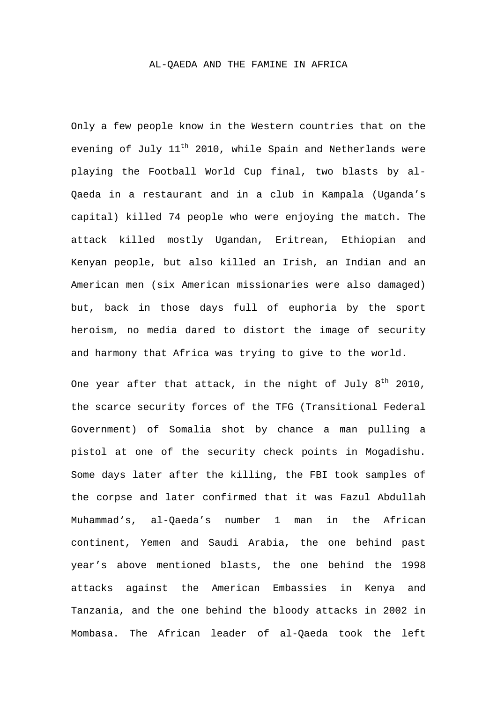## AL-QAEDA AND THE FAMINE IN AFRICA

Only a few people know in the Western countries that on the evening of July 11<sup>th</sup> 2010, while Spain and Netherlands were playing the Football World Cup final, two blasts by al-Qaeda in a restaurant and in a club in Kampala (Uganda's capital) killed 74 people who were enjoying the match. The attack killed mostly Ugandan, Eritrean, Ethiopian and Kenyan people, but also killed an Irish, an Indian and an American men (six American missionaries were also damaged) but, back in those days full of euphoria by the sport heroism, no media dared to distort the image of security and harmony that Africa was trying to give to the world.

One year after that attack, in the night of July  $8^{\text{th}}$  2010, the scarce security forces of the TFG (Transitional Federal Government) of Somalia shot by chance a man pulling a pistol at one of the security check points in Mogadishu. Some days later after the killing, the FBI took samples of the corpse and later confirmed that it was Fazul Abdullah Muhammad's, al-Qaeda's number 1 man in the African continent, Yemen and Saudi Arabia, the one behind past year's above mentioned blasts, the one behind the 1998 attacks against the American Embassies in Kenya and Tanzania, and the one behind the bloody attacks in 2002 in Mombasa. The African leader of al-Qaeda took the left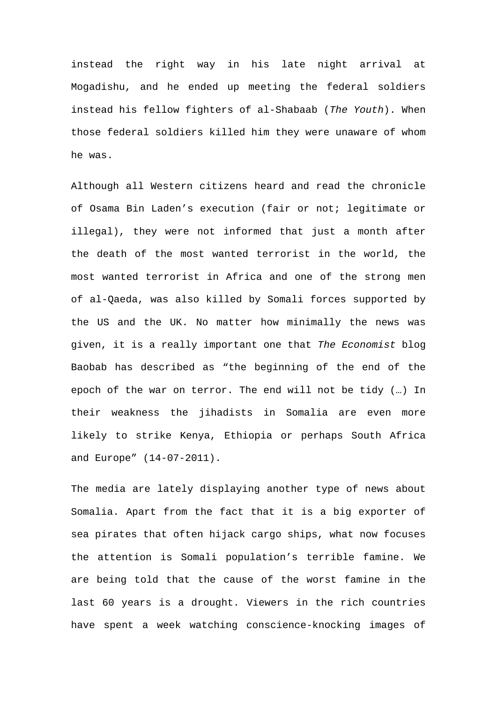instead the right way in his late night arrival at Mogadishu, and he ended up meeting the federal soldiers instead his fellow fighters of al-Shabaab (*The Youth*). When those federal soldiers killed him they were unaware of whom he was.

Although all Western citizens heard and read the chronicle of Osama Bin Laden's execution (fair or not; legitimate or illegal), they were not informed that just a month after the death of the most wanted terrorist in the world, the most wanted terrorist in Africa and one of the strong men of al-Qaeda, was also killed by Somali forces supported by the US and the UK. No matter how minimally the news was given, it is a really important one that *The Economist* blog Baobab has described as "the beginning of the end of the epoch of the war on terror. The end will not be tidy (…) In their weakness the jihadists in Somalia are even more likely to strike Kenya, Ethiopia or perhaps South Africa and Europe" (14-07-2011).

The media are lately displaying another type of news about Somalia. Apart from the fact that it is a big exporter of sea pirates that often hijack cargo ships, what now focuses the attention is Somali population's terrible famine. We are being told that the cause of the worst famine in the last 60 years is a drought. Viewers in the rich countries have spent a week watching conscience-knocking images of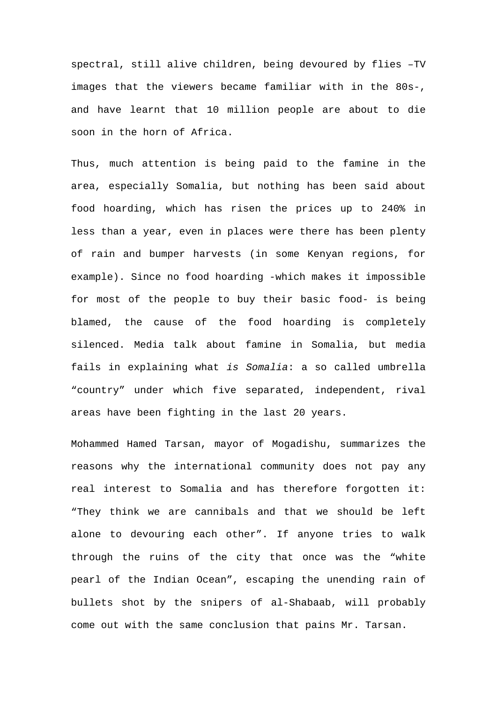spectral, still alive children, being devoured by flies –TV images that the viewers became familiar with in the 80s-, and have learnt that 10 million people are about to die soon in the horn of Africa.

Thus, much attention is being paid to the famine in the area, especially Somalia, but nothing has been said about food hoarding, which has risen the prices up to 240% in less than a year, even in places were there has been plenty of rain and bumper harvests (in some Kenyan regions, for example). Since no food hoarding -which makes it impossible for most of the people to buy their basic food- is being blamed, the cause of the food hoarding is completely silenced. Media talk about famine in Somalia, but media fails in explaining what *is Somalia*: a so called umbrella "country" under which five separated, independent, rival areas have been fighting in the last 20 years.

Mohammed Hamed Tarsan, mayor of Mogadishu, summarizes the reasons why the international community does not pay any real interest to Somalia and has therefore forgotten it: "They think we are cannibals and that we should be left alone to devouring each other". If anyone tries to walk through the ruins of the city that once was the "white pearl of the Indian Ocean", escaping the unending rain of bullets shot by the snipers of al-Shabaab, will probably come out with the same conclusion that pains Mr. Tarsan.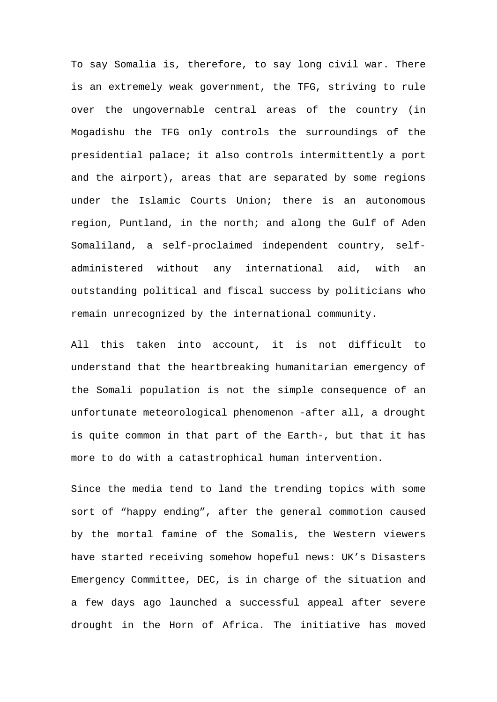To say Somalia is, therefore, to say long civil war. There is an extremely weak government, the TFG, striving to rule over the ungovernable central areas of the country (in Mogadishu the TFG only controls the surroundings of the presidential palace; it also controls intermittently a port and the airport), areas that are separated by some regions under the Islamic Courts Union; there is an autonomous region, Puntland, in the north; and along the Gulf of Aden Somaliland, a self-proclaimed independent country, selfadministered without any international aid, with an outstanding political and fiscal success by politicians who remain unrecognized by the international community.

All this taken into account, it is not difficult to understand that the heartbreaking humanitarian emergency of the Somali population is not the simple consequence of an unfortunate meteorological phenomenon -after all, a drought is quite common in that part of the Earth-, but that it has more to do with a catastrophical human intervention.

Since the media tend to land the trending topics with some sort of "happy ending", after the general commotion caused by the mortal famine of the Somalis, the Western viewers have started receiving somehow hopeful news: UK's Disasters Emergency Committee, DEC, is in charge of the situation and a few days ago launched a successful appeal after severe drought in the Horn of Africa. The initiative has moved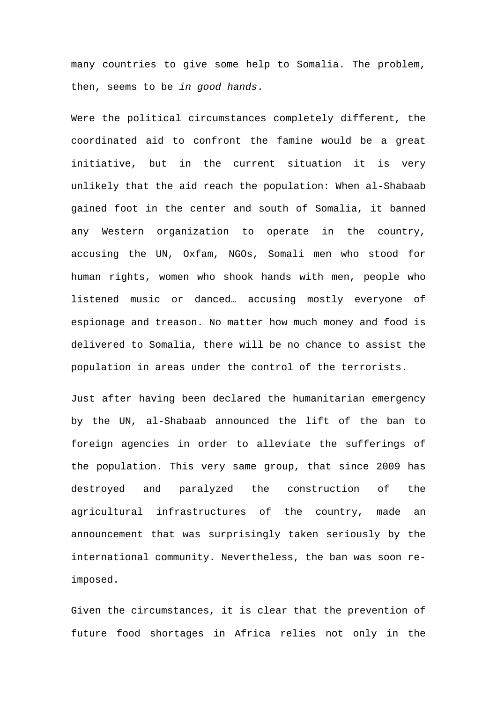many countries to give some help to Somalia. The problem, then, seems to be *in good hands*.

Were the political circumstances completely different, the coordinated aid to confront the famine would be a great initiative, but in the current situation it is very unlikely that the aid reach the population: When al-Shabaab gained foot in the center and south of Somalia, it banned any Western organization to operate in the country, accusing the UN, Oxfam, NGOs, Somali men who stood for human rights, women who shook hands with men, people who listened music or danced… accusing mostly everyone of espionage and treason. No matter how much money and food is delivered to Somalia, there will be no chance to assist the population in areas under the control of the terrorists.

Just after having been declared the humanitarian emergency by the UN, al-Shabaab announced the lift of the ban to foreign agencies in order to alleviate the sufferings of the population. This very same group, that since 2009 has destroyed and paralyzed the construction of the agricultural infrastructures of the country, made an announcement that was surprisingly taken seriously by the international community. Nevertheless, the ban was soon reimposed.

Given the circumstances, it is clear that the prevention of future food shortages in Africa relies not only in the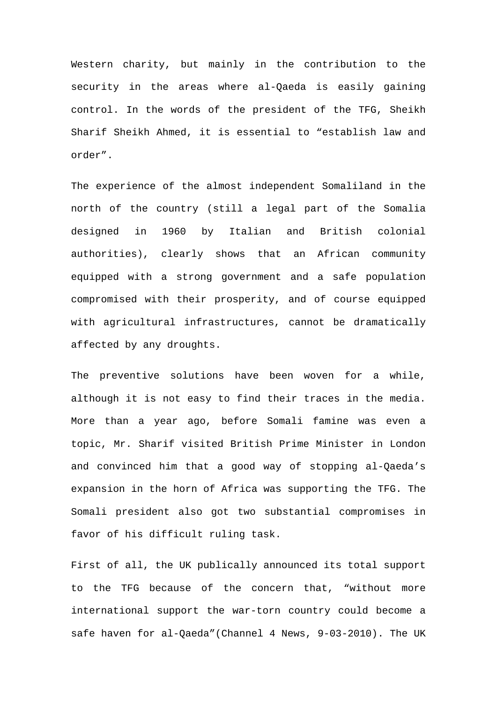Western charity, but mainly in the contribution to the security in the areas where al-Qaeda is easily gaining control. In the words of the president of the TFG, Sheikh Sharif Sheikh Ahmed, it is essential to "establish law and order".

The experience of the almost independent Somaliland in the north of the country (still a legal part of the Somalia designed in 1960 by Italian and British colonial authorities), clearly shows that an African community equipped with a strong government and a safe population compromised with their prosperity, and of course equipped with agricultural infrastructures, cannot be dramatically affected by any droughts.

The preventive solutions have been woven for a while, although it is not easy to find their traces in the media. More than a year ago, before Somali famine was even a topic, Mr. Sharif visited British Prime Minister in London and convinced him that a good way of stopping al-Qaeda's expansion in the horn of Africa was supporting the TFG. The Somali president also got two substantial compromises in favor of his difficult ruling task.

First of all, the UK publically announced its total support to the TFG because of the concern that, "without more international support the war-torn country could become a safe haven for al-Qaeda"(Channel 4 News, 9-03-2010). The UK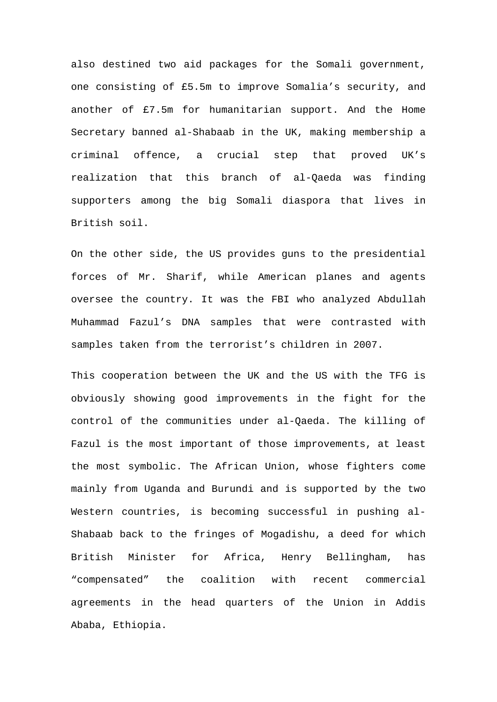also destined two aid packages for the Somali government, one consisting of £5.5m to improve Somalia's security, and another of £7.5m for humanitarian support. And the Home Secretary banned al-Shabaab in the UK, making membership a criminal offence, a crucial step that proved UK's realization that this branch of al-Qaeda was finding supporters among the big Somali diaspora that lives in British soil.

On the other side, the US provides guns to the presidential forces of Mr. Sharif, while American planes and agents oversee the country. It was the FBI who analyzed Abdullah Muhammad Fazul's DNA samples that were contrasted with samples taken from the terrorist's children in 2007.

This cooperation between the UK and the US with the TFG is obviously showing good improvements in the fight for the control of the communities under al-Qaeda. The killing of Fazul is the most important of those improvements, at least the most symbolic. The African Union, whose fighters come mainly from Uganda and Burundi and is supported by the two Western countries, is becoming successful in pushing al-Shabaab back to the fringes of Mogadishu, a deed for which British Minister for Africa, Henry Bellingham, has "compensated" the coalition with recent commercial agreements in the head quarters of the Union in Addis Ababa, Ethiopia.